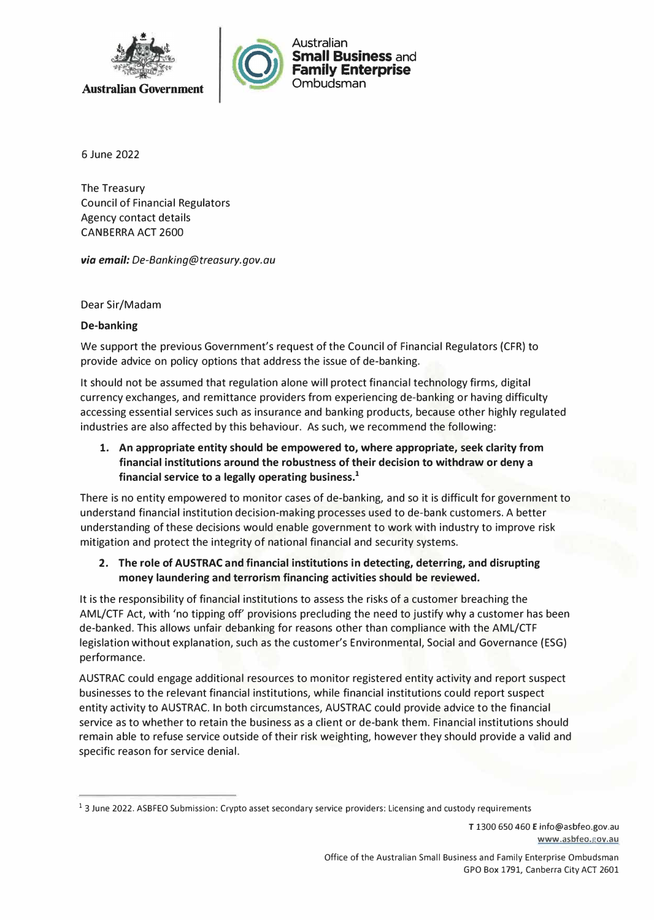

6 June 2022

The Treasury Council of Financial Regulators Agency contact details CANBERRA ACT 2600

*via email: De-Banking@treasury.gov.au* 

Dear Sir/Madam

## **De-banking**

We support the previous Government's request of the Council of Financial Regulators (CFR) to provide advice on policy options that address the issue of de-banking.

It should not be assumed that regulation alone will protect financial technology firms, digital currency exchanges, and remittance providers from experiencing de-banking or having difficulty accessing essential services such as insurance and banking products, because other highly regulated industries are also affected by this behaviour. As such, we recommend the following:

**1. An appropriate entity should be empowered to, where appropriate, seek clarity from financial institutions around the robustness of their decision to withdraw or deny a financial service to a legally operating business.<sup>1</sup>**

There is no entity empowered to monitor cases of de-banking, and so it is difficult for government to understand financial institution decision-making processes used to de-bank customers. A better understanding of these decisions would enable government to work with industry to improve risk mitigation and protect the integrity of national financial and security systems.

## **2. The role of AUSTRAC and financial institutions in detecting, deterring, and disrupting money laundering and terrorism financing activities should be reviewed.**

It is the responsibility of financial institutions to assess the risks of a customer breaching the AML/CTF Act, with 'no tipping off' provisions precluding the need to justify why a customer has been de-banked. This allows unfair debanking for reasons other than compliance with the AML/CTF legislation without explanation, such as the customer's Environmental, Social and Governance (ESG) performance.

AUSTRAC could engage additional resources to monitor registered entity activity and report suspect businesses to the relevant financial institutions, while financial institutions could report suspect entity activity to AUSTRAC. In both circumstances, AUSTRAC could provide advice to the financial service as to whether to retain the business as a client or de-bank them. Financial institutions should remain able to refuse service outside of their risk weighting, however they should provide a valid and specific reason for service denial.

T 1300 650 460 E info@asbfeo.gov.au **www.asbfeo.gov.au** 

<sup>&</sup>lt;sup>1</sup> 3 June 2022. ASBFEO Submission: Crypto asset secondary service providers: Licensing and custody requirements